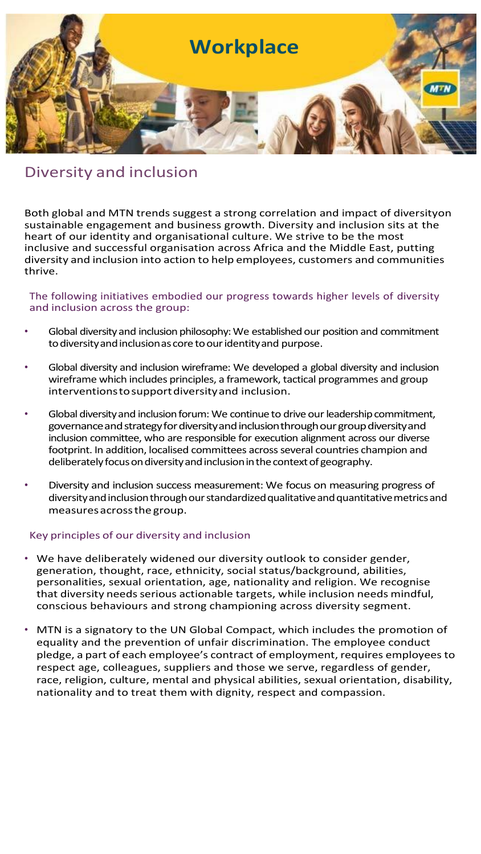

# Diversity and inclusion

Both global and MTN trends suggest a strong correlation and impact of diversityon sustainable engagement and business growth. Diversity and inclusion sits at the heart of our identity and organisational culture. We strive to be the most inclusive and successful organisation across Africa and the Middle East, putting diversity and inclusion into action to help employees, customers and communities thrive.

## The following initiatives embodied our progress towards higher levels of diversity and inclusion across the group:

- Global diversity and inclusion philosophy: We established our position and commitment to diversity and inclusion as core to our identity and purpose.
- Global diversity and inclusion wireframe: We developed a global diversity and inclusion wireframe which includes principles, a framework, tactical programmes and group interventionstosupportdiversityand inclusion.
- Global diversity and inclusion forum: We continue to drive our leadership commitment, governance and strategy for diversity and inclusion through our group diversity and inclusion committee, who are responsible for execution alignment across our diverse footprint. In addition, localised committees across several countries champion and deliberately focus on diversity and inclusion in the context of geography.
- Diversity and inclusion success measurement: We focus on measuring progress of diversity and inclusion through our standardized qualitative and quantitative metrics and measuresacrossthegroup.

## Key principles of our diversity and inclusion

- We have deliberately widened our diversity outlook to consider gender, generation, thought, race, ethnicity, social status/background, abilities, personalities, sexual orientation, age, nationality and religion. We recognise that diversity needs serious actionable targets, while inclusion needs mindful, conscious behaviours and strong championing across diversity segment.
- MTN is a signatory to the UN Global Compact, which includes the promotion of equality and the prevention of unfair discrimination. The employee conduct pledge, a part of each employee's contract of employment, requires employees to respect age, colleagues, suppliers and those we serve, regardless of gender, race, religion, culture, mental and physical abilities, sexual orientation, disability, nationality and to treat them with dignity, respect and compassion.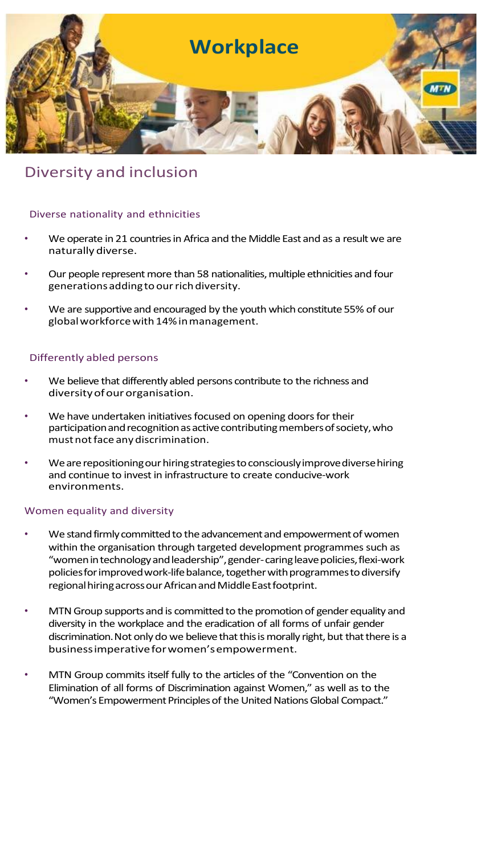

# Diversity and inclusion

## Diverse nationality and ethnicities

- We operate in 21 countries in Africa and the Middle East and as a result we are naturallydiverse.
- Our people represent more than 58 nationalities, multiple ethnicities and four generations adding to our rich diversity.
- We are supportive and encouraged by the youth which constitute 55% of our globalworkforcewith14%inmanagement.

## Differently abled persons

- We believe that differently abled persons contribute to the richness and diversity of our organisation.
- We have undertaken initiatives focused on opening doors for their participation and recognition as active contributing members of society, who mustnotface anydiscrimination.
- We are repositioning our hiring strategies to consciously improve diverse hiring and continue to invest in infrastructure to create conducive-work environments.

## Women equality and diversity

- We stand firmly committed to the advancement and empowerment of women within the organisation through targeted development programmes such as "women in technology and leadership", gender-caring leave policies, flexi-work policies for improved work-life balance, together with programmes to diversify regional hiring across our African and Middle East footprint.
- MTN Group supports and is committed to the promotion of gender equality and diversity in the workplace and the eradication of all forms of unfair gender discrimination. Not only do we believe that this is morally right, but that there is a businessimperativeforwomen'sempowerment.
- MTN Group commits itself fully to the articles of the "Convention on the Elimination of all forms of Discrimination against Women," as well as to the "Women's Empowerment Principles of the United Nations Global Compact."